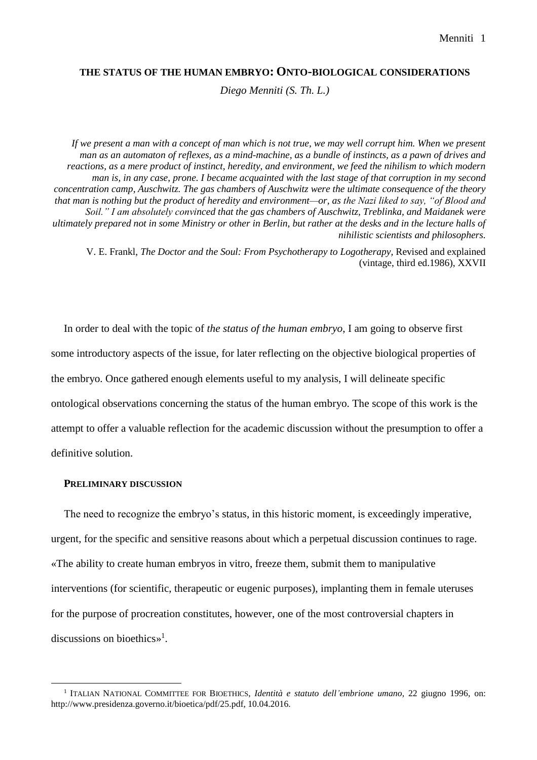# **THE STATUS OF THE HUMAN EMBRYO: ONTO-BIOLOGICAL CONSIDERATIONS**

*Diego Menniti (S. Th. L.)*

*If we present a man with a concept of man which is not true, we may well corrupt him. When we present man as an automaton of reflexes, as a mind-machine, as a bundle of instincts, as a pawn of drives and reactions, as a mere product of instinct, heredity, and environment, we feed the nihilism to which modern man is, in any case, prone. I became acquainted with the last stage of that corruption in my second concentration camp, Auschwitz. The gas chambers of Auschwitz were the ultimate consequence of the theory that man is nothing but the product of heredity and environment—or, as the Nazi liked to say, "of Blood and Soil." I am absolutely convinced that the gas chambers of Auschwitz, Treblinka, and Maidanek were ultimately prepared not in some Ministry or other in Berlin, but rather at the desks and in the lecture halls of nihilistic scientists and philosophers.*

V. E. Frankl, *The Doctor and the Soul: From Psychotherapy to Logotherapy,* Revised and explained (vintage, third ed.1986), XXVII

In order to deal with the topic of *the status of the human embryo*, I am going to observe first some introductory aspects of the issue, for later reflecting on the objective biological properties of the embryo. Once gathered enough elements useful to my analysis, I will delineate specific ontological observations concerning the status of the human embryo. The scope of this work is the attempt to offer a valuable reflection for the academic discussion without the presumption to offer a definitive solution.

### **PRELIMINARY DISCUSSION**

 $\overline{a}$ 

The need to recognize the embryo's status, in this historic moment, is exceedingly imperative, urgent, for the specific and sensitive reasons about which a perpetual discussion continues to rage. «The ability to create human embryos in vitro, freeze them, submit them to manipulative interventions (for scientific, therapeutic or eugenic purposes), implanting them in female uteruses for the purpose of procreation constitutes, however, one of the most controversial chapters in discussions on bioethics»<sup>1</sup> .

<sup>1</sup> ITALIAN NATIONAL COMMITTEE FOR BIOETHICS, *Identità e statuto dell'embrione umano*, 22 giugno 1996, on: http://www.presidenza.governo.it/bioetica/pdf/25.pdf, 10.04.2016.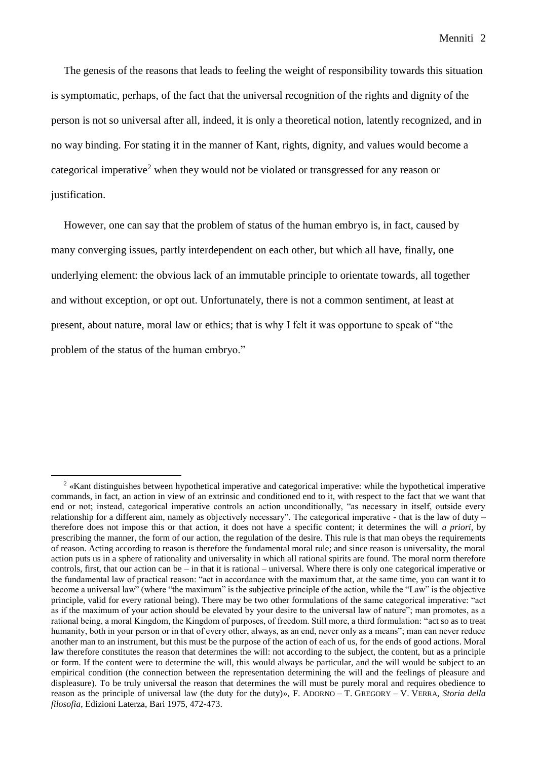Menniti 2

The genesis of the reasons that leads to feeling the weight of responsibility towards this situation is symptomatic, perhaps, of the fact that the universal recognition of the rights and dignity of the person is not so universal after all, indeed, it is only a theoretical notion, latently recognized, and in no way binding. For stating it in the manner of Kant, rights, dignity, and values would become a categorical imperative<sup>2</sup> when they would not be violated or transgressed for any reason or justification.

However, one can say that the problem of status of the human embryo is, in fact, caused by many converging issues, partly interdependent on each other, but which all have, finally, one underlying element: the obvious lack of an immutable principle to orientate towards, all together and without exception, or opt out. Unfortunately, there is not a common sentiment, at least at present, about nature, moral law or ethics; that is why I felt it was opportune to speak of "the problem of the status of the human embryo."

<sup>2</sup> «Kant distinguishes between hypothetical imperative and categorical imperative: while the hypothetical imperative commands, in fact, an action in view of an extrinsic and conditioned end to it, with respect to the fact that we want that end or not; instead, categorical imperative controls an action unconditionally, "as necessary in itself, outside every relationship for a different aim, namely as objectively necessary". The categorical imperative - that is the law of duty – therefore does not impose this or that action, it does not have a specific content; it determines the will *a priori,* by prescribing the manner, the form of our action, the regulation of the desire. This rule is that man obeys the requirements of reason. Acting according to reason is therefore the fundamental moral rule; and since reason is universality, the moral action puts us in a sphere of rationality and universality in which all rational spirits are found. The moral norm therefore controls, first, that our action can be – in that it is rational – universal. Where there is only one categorical imperative or the fundamental law of practical reason: "act in accordance with the maximum that, at the same time, you can want it to become a universal law" (where "the maximum" is the subjective principle of the action, while the "Law" is the objective principle, valid for every rational being). There may be two other formulations of the same categorical imperative: "act as if the maximum of your action should be elevated by your desire to the universal law of nature"; man promotes, as a rational being, a moral Kingdom, the Kingdom of purposes, of freedom. Still more, a third formulation: "act so as to treat humanity, both in your person or in that of every other, always, as an end, never only as a means"; man can never reduce another man to an instrument, but this must be the purpose of the action of each of us, for the ends of good actions. Moral law therefore constitutes the reason that determines the will: not according to the subject, the content, but as a principle or form. If the content were to determine the will, this would always be particular, and the will would be subject to an empirical condition (the connection between the representation determining the will and the feelings of pleasure and displeasure). To be truly universal the reason that determines the will must be purely moral and requires obedience to reason as the principle of universal law (the duty for the duty)», F. ADORNO – T. GREGORY – V. VERRA, *Storia della filosofia*, Edizioni Laterza, Bari 1975, 472-473.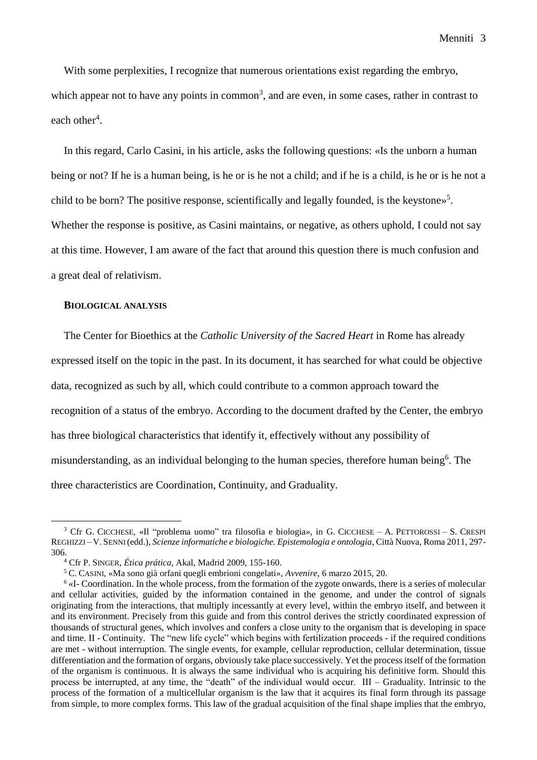With some perplexities, I recognize that numerous orientations exist regarding the embryo, which appear not to have any points in common<sup>3</sup>, and are even, in some cases, rather in contrast to each other<sup>4</sup>.

In this regard, Carlo Casini, in his article, asks the following questions: «Is the unborn a human being or not? If he is a human being, is he or is he not a child; and if he is a child, is he or is he not a child to be born? The positive response, scientifically and legally founded, is the keystone»<sup>5</sup>. Whether the response is positive, as Casini maintains, or negative, as others uphold, I could not say at this time. However, I am aware of the fact that around this question there is much confusion and a great deal of relativism.

#### **BIOLOGICAL ANALYSIS**

 $\overline{a}$ 

The Center for Bioethics at the *Catholic University of the Sacred Heart* in Rome has already expressed itself on the topic in the past. In its document, it has searched for what could be objective data, recognized as such by all, which could contribute to a common approach toward the recognition of a status of the embryo. According to the document drafted by the Center, the embryo has three biological characteristics that identify it, effectively without any possibility of misunderstanding, as an individual belonging to the human species, therefore human being<sup>6</sup>. The three characteristics are Coordination, Continuity, and Graduality.

<sup>3</sup> Cfr G. CICCHESE, «Il "problema uomo" tra filosofia e biologia», in G. CICCHESE – A. PETTOROSSI – S. CRESPI REGHIZZI – V. SENNI (edd.), *Scienze informatiche e biologiche. Epistemologia e ontologia*, Città Nuova, Roma 2011, 297- 306.

<sup>4</sup> Cfr P. SINGER, *Ética prática*, Akal, Madrid 2009, 155-160.

<sup>5</sup> C. CASINI, «Ma sono già orfani quegli embrioni congelati», *Avvenire*, 6 marzo 2015, 20.

<sup>&</sup>lt;sup>6</sup> «I- Coordination. In the whole process, from the formation of the zygote onwards, there is a series of molecular and cellular activities, guided by the information contained in the genome, and under the control of signals originating from the interactions, that multiply incessantly at every level, within the embryo itself, and between it and its environment. Precisely from this guide and from this control derives the strictly coordinated expression of thousands of structural genes, which involves and confers a close unity to the organism that is developing in space and time. II - Continuity. The "new life cycle" which begins with fertilization proceeds - if the required conditions are met - without interruption. The single events, for example, cellular reproduction, cellular determination, tissue differentiation and the formation of organs, obviously take place successively. Yet the process itself of the formation of the organism is continuous. It is always the same individual who is acquiring his definitive form. Should this process be interrupted, at any time, the "death" of the individual would occur. III – Graduality. Intrinsic to the process of the formation of a multicellular organism is the law that it acquires its final form through its passage from simple, to more complex forms. This law of the gradual acquisition of the final shape implies that the embryo,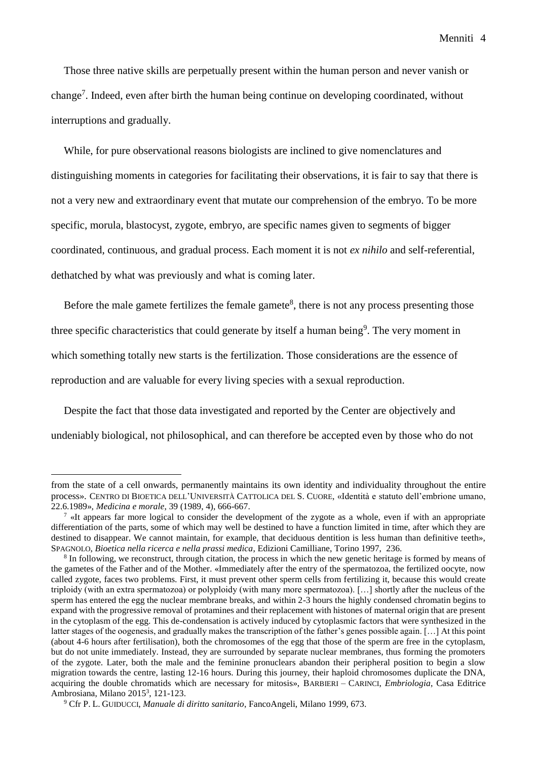Those three native skills are perpetually present within the human person and never vanish or change<sup>7</sup>. Indeed, even after birth the human being continue on developing coordinated, without interruptions and gradually.

While, for pure observational reasons biologists are inclined to give nomenclatures and distinguishing moments in categories for facilitating their observations, it is fair to say that there is not a very new and extraordinary event that mutate our comprehension of the embryo. To be more specific, morula, blastocyst, zygote, embryo, are specific names given to segments of bigger coordinated, continuous, and gradual process. Each moment it is not *ex nihilo* and self-referential, dethatched by what was previously and what is coming later.

Before the male gamete fertilizes the female gamete<sup>8</sup>, there is not any process presenting those three specific characteristics that could generate by itself a human being<sup>9</sup>. The very moment in which something totally new starts is the fertilization. Those considerations are the essence of reproduction and are valuable for every living species with a sexual reproduction.

Despite the fact that those data investigated and reported by the Center are objectively and undeniably biological, not philosophical, and can therefore be accepted even by those who do not

from the state of a cell onwards, permanently maintains its own identity and individuality throughout the entire process». CENTRO DI BIOETICA DELL'UNIVERSITÀ CATTOLICA DEL S. CUORE, «Identità e statuto dell'embrione umano, 22.6.1989», *Medicina e morale*, 39 (1989, 4), 666-667.

 $\frac{7}{1}$  «It appears far more logical to consider the development of the zygote as a whole, even if with an appropriate differentiation of the parts, some of which may well be destined to have a function limited in time, after which they are destined to disappear. We cannot maintain, for example, that deciduous dentition is less human than definitive teeth», SPAGNOLO, *Bioetica nella ricerca e nella prassi medica*, Edizioni Camilliane, Torino 1997, 236.

<sup>&</sup>lt;sup>8</sup> In following, we reconstruct, through citation, the process in which the new genetic heritage is formed by means of the gametes of the Father and of the Mother. «Immediately after the entry of the spermatozoa, the fertilized oocyte, now called zygote, faces two problems. First, it must prevent other sperm cells from fertilizing it, because this would create triploidy (with an extra spermatozoa) or polyploidy (with many more spermatozoa). […] shortly after the nucleus of the sperm has entered the egg the nuclear membrane breaks, and within 2-3 hours the highly condensed chromatin begins to expand with the progressive removal of protamines and their replacement with histones of maternal origin that are present in the cytoplasm of the egg. This de-condensation is actively induced by cytoplasmic factors that were synthesized in the latter stages of the oogenesis, and gradually makes the transcription of the father's genes possible again. […] At this point (about 4-6 hours after fertilisation), both the chromosomes of the egg that those of the sperm are free in the cytoplasm, but do not unite immediately. Instead, they are surrounded by separate nuclear membranes, thus forming the promoters of the zygote. Later, both the male and the feminine pronuclears abandon their peripheral position to begin a slow migration towards the centre, lasting 12-16 hours. During this journey, their haploid chromosomes duplicate the DNA, acquiring the double chromatids which are necessary for mitosis», BARBIERI – CARINCI, *Embriologia*, Casa Editrice Ambrosiana, Milano 2015<sup>3</sup>, 121-123.

<sup>9</sup> Cfr P. L. GUIDUCCI, *Manuale di diritto sanitario*, FancoAngeli, Milano 1999, 673.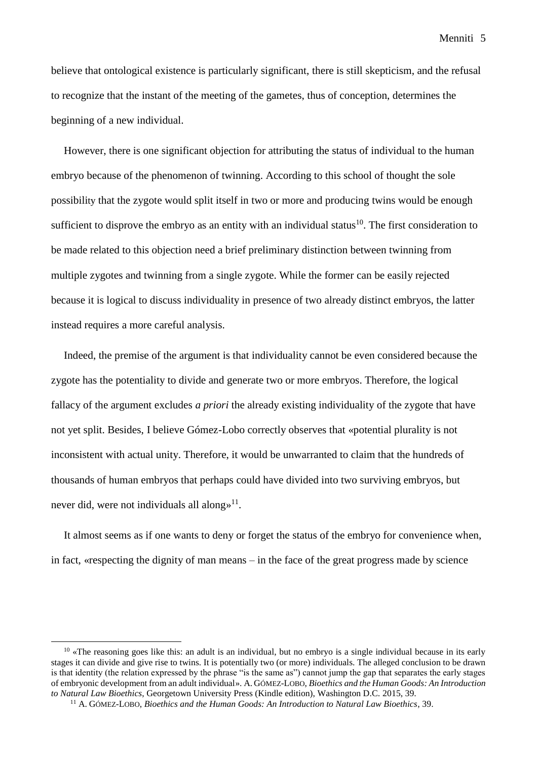believe that ontological existence is particularly significant, there is still skepticism, and the refusal to recognize that the instant of the meeting of the gametes, thus of conception, determines the beginning of a new individual.

However, there is one significant objection for attributing the status of individual to the human embryo because of the phenomenon of twinning. According to this school of thought the sole possibility that the zygote would split itself in two or more and producing twins would be enough sufficient to disprove the embryo as an entity with an individual status<sup>10</sup>. The first consideration to be made related to this objection need a brief preliminary distinction between twinning from multiple zygotes and twinning from a single zygote. While the former can be easily rejected because it is logical to discuss individuality in presence of two already distinct embryos, the latter instead requires a more careful analysis.

Indeed, the premise of the argument is that individuality cannot be even considered because the zygote has the potentiality to divide and generate two or more embryos. Therefore, the logical fallacy of the argument excludes *a priori* the already existing individuality of the zygote that have not yet split. Besides, I believe Gómez-Lobo correctly observes that «potential plurality is not inconsistent with actual unity. Therefore, it would be unwarranted to claim that the hundreds of thousands of human embryos that perhaps could have divided into two surviving embryos, but never did, were not individuals all along $\psi^{11}$ .

It almost seems as if one wants to deny or forget the status of the embryo for convenience when, in fact, «respecting the dignity of man means – in the face of the great progress made by science

 $10 \times$ The reasoning goes like this: an adult is an individual, but no embryo is a single individual because in its early stages it can divide and give rise to twins. It is potentially two (or more) individuals. The alleged conclusion to be drawn is that identity (the relation expressed by the phrase "is the same as") cannot jump the gap that separates the early stages of embryonic development from an adult individual». A. GÓMEZ-LOBO, *Bioethics and the Human Goods: An Introduction to Natural Law Bioethics*, Georgetown University Press (Kindle edition), Washington D.C. 2015, 39.

<sup>11</sup> A. GÓMEZ-LOBO, *Bioethics and the Human Goods: An Introduction to Natural Law Bioethics*, 39.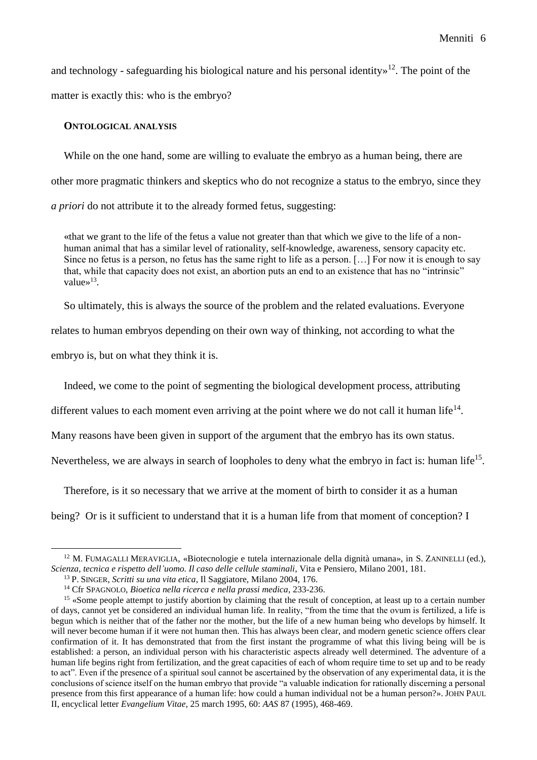and technology - safeguarding his biological nature and his personal identity $\frac{12}{1}$ . The point of the matter is exactly this: who is the embryo?

### **ONTOLOGICAL ANALYSIS**

While on the one hand, some are willing to evaluate the embryo as a human being, there are other more pragmatic thinkers and skeptics who do not recognize a status to the embryo, since they *a priori* do not attribute it to the already formed fetus, suggesting:

«that we grant to the life of the fetus a value not greater than that which we give to the life of a nonhuman animal that has a similar level of rationality, self-knowledge, awareness, sensory capacity etc. Since no fetus is a person, no fetus has the same right to life as a person. […] For now it is enough to say that, while that capacity does not exist, an abortion puts an end to an existence that has no "intrinsic" value $\frac{13}{3}$ .

So ultimately, this is always the source of the problem and the related evaluations. Everyone

relates to human embryos depending on their own way of thinking, not according to what the

embryo is, but on what they think it is.

 $\overline{a}$ 

Indeed, we come to the point of segmenting the biological development process, attributing

different values to each moment even arriving at the point where we do not call it human life<sup>14</sup>.

Many reasons have been given in support of the argument that the embryo has its own status.

Nevertheless, we are always in search of loopholes to deny what the embryo in fact is: human life<sup>15</sup>.

Therefore, is it so necessary that we arrive at the moment of birth to consider it as a human

being? Or is it sufficient to understand that it is a human life from that moment of conception? I

<sup>&</sup>lt;sup>12</sup> M. FUMAGALLI MERAVIGLIA, «Biotecnologie e tutela internazionale della dignità umana», in S. ZANINELLI (ed.), *Scienza, tecnica e rispetto dell'uomo. Il caso delle cellule staminali*, Vita e Pensiero, Milano 2001, 181.

<sup>13</sup> P. SINGER, *Scritti su una vita etica*, Il Saggiatore, Milano 2004, 176.

<sup>14</sup> Cfr SPAGNOLO, *Bioetica nella ricerca e nella prassi medica*, 233-236.

<sup>&</sup>lt;sup>15</sup> «Some people attempt to justify abortion by claiming that the result of conception, at least up to a certain number of days, cannot yet be considered an individual human life. In reality, "from the time that the ovum is fertilized, a life is begun which is neither that of the father nor the mother, but the life of a new human being who develops by himself. It will never become human if it were not human then. This has always been clear, and modern genetic science offers clear confirmation of it. It has demonstrated that from the first instant the programme of what this living being will be is established: a person, an individual person with his characteristic aspects already well determined. The adventure of a human life begins right from fertilization, and the great capacities of each of whom require time to set up and to be ready to act". Even if the presence of a spiritual soul cannot be ascertained by the observation of any experimental data, it is the conclusions of science itself on the human embryo that provide "a valuable indication for rationally discerning a personal presence from this first appearance of a human life: how could a human individual not be a human person?». JOHN PAUL II, encyclical letter *Evangelium Vitae*, 25 march 1995, 60: *AAS* 87 (1995), 468-469.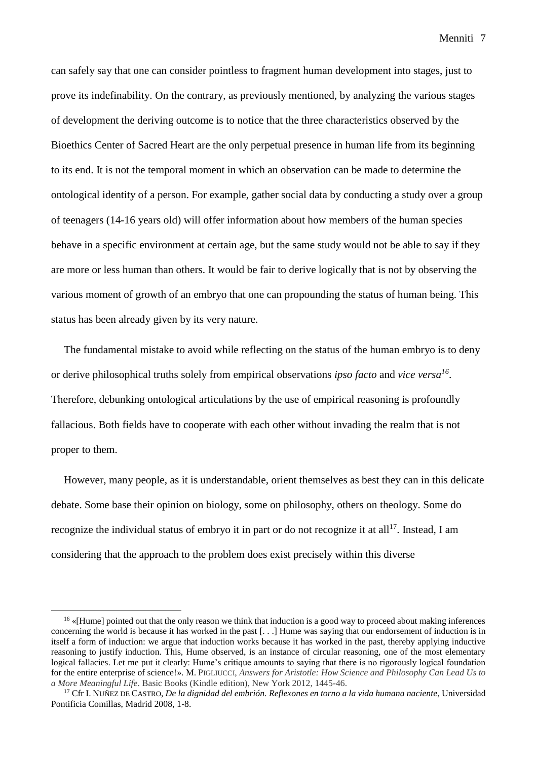Menniti 7

can safely say that one can consider pointless to fragment human development into stages, just to prove its indefinability. On the contrary, as previously mentioned, by analyzing the various stages of development the deriving outcome is to notice that the three characteristics observed by the Bioethics Center of Sacred Heart are the only perpetual presence in human life from its beginning to its end. It is not the temporal moment in which an observation can be made to determine the ontological identity of a person. For example, gather social data by conducting a study over a group of teenagers (14-16 years old) will offer information about how members of the human species behave in a specific environment at certain age, but the same study would not be able to say if they are more or less human than others. It would be fair to derive logically that is not by observing the various moment of growth of an embryo that one can propounding the status of human being. This status has been already given by its very nature.

The fundamental mistake to avoid while reflecting on the status of the human embryo is to deny or derive philosophical truths solely from empirical observations *ipso facto* and *vice versa<sup>16</sup>* . Therefore, debunking ontological articulations by the use of empirical reasoning is profoundly fallacious. Both fields have to cooperate with each other without invading the realm that is not proper to them.

However, many people, as it is understandable, orient themselves as best they can in this delicate debate. Some base their opinion on biology, some on philosophy, others on theology. Some do recognize the individual status of embryo it in part or do not recognize it at all<sup>17</sup>. Instead, I am considering that the approach to the problem does exist precisely within this diverse

<sup>&</sup>lt;sup>16</sup> «[Hume] pointed out that the only reason we think that induction is a good way to proceed about making inferences concerning the world is because it has worked in the past [. . .] Hume was saying that our endorsement of induction is in itself a form of induction: we argue that induction works because it has worked in the past, thereby applying inductive reasoning to justify induction. This, Hume observed, is an instance of circular reasoning, one of the most elementary logical fallacies. Let me put it clearly: Hume's critique amounts to saying that there is no rigorously logical foundation for the entire enterprise of science!». M. PIGLIUCCI, *Answers for Aristotle: How Science and Philosophy Can Lead Us to a More Meaningful Life*. Basic Books (Kindle edition), New York 2012, 1445-46.

<sup>17</sup> Cfr I. NUÑEZ DE CASTRO, *De la dignidad del embrión. Reflexones en torno a la vida humana naciente*, Universidad Pontificia Comillas, Madrid 2008, 1-8.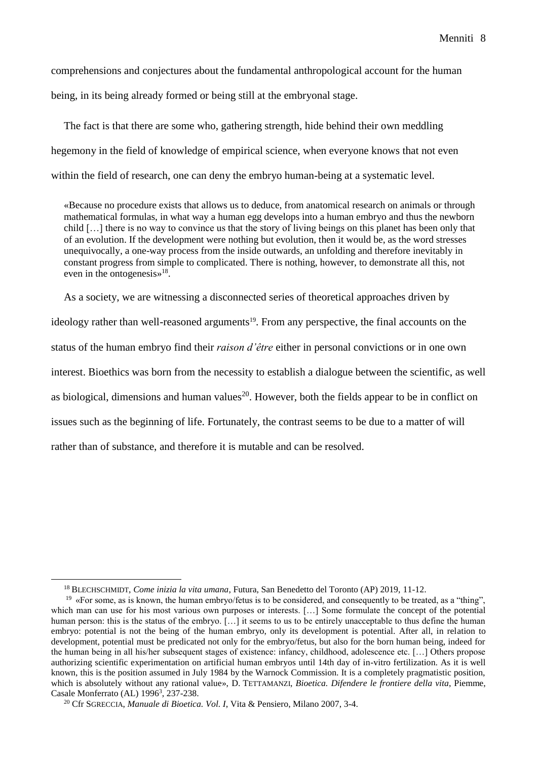Menniti 8

comprehensions and conjectures about the fundamental anthropological account for the human being, in its being already formed or being still at the embryonal stage.

The fact is that there are some who, gathering strength, hide behind their own meddling hegemony in the field of knowledge of empirical science, when everyone knows that not even within the field of research, one can deny the embryo human-being at a systematic level.

«Because no procedure exists that allows us to deduce, from anatomical research on animals or through mathematical formulas, in what way a human egg develops into a human embryo and thus the newborn child […] there is no way to convince us that the story of living beings on this planet has been only that of an evolution. If the development were nothing but evolution, then it would be, as the word stresses unequivocally, a one-way process from the inside outwards, an unfolding and therefore inevitably in constant progress from simple to complicated. There is nothing, however, to demonstrate all this, not even in the ontogenesis»<sup>18</sup>.

As a society, we are witnessing a disconnected series of theoretical approaches driven by ideology rather than well-reasoned arguments<sup>19</sup>. From any perspective, the final accounts on the status of the human embryo find their *raison d'être* either in personal convictions or in one own interest. Bioethics was born from the necessity to establish a dialogue between the scientific, as well as biological, dimensions and human values<sup>20</sup>. However, both the fields appear to be in conflict on issues such as the beginning of life. Fortunately, the contrast seems to be due to a matter of will rather than of substance, and therefore it is mutable and can be resolved.

<sup>18</sup> BLECHSCHMIDT, *Come inizia la vita umana*, Futura, San Benedetto del Toronto (AP) 2019, 11-12.

<sup>19</sup> «For some, as is known, the human embryo/fetus is to be considered, and consequently to be treated, as a "thing", which man can use for his most various own purposes or interests. [...] Some formulate the concept of the potential human person: this is the status of the embryo. [...] it seems to us to be entirely unacceptable to thus define the human embryo: potential is not the being of the human embryo, only its development is potential. After all, in relation to development, potential must be predicated not only for the embryo/fetus, but also for the born human being, indeed for the human being in all his/her subsequent stages of existence: infancy, childhood, adolescence etc. […] Others propose authorizing scientific experimentation on artificial human embryos until 14th day of in-vitro fertilization. As it is well known, this is the position assumed in July 1984 by the Warnock Commission. It is a completely pragmatistic position, which is absolutely without any rational value», D. TETTAMANZI, *Bioetica. Difendere le frontiere della vita*, Piemme, Casale Monferrato (AL) 1996<sup>3</sup>, 237-238.

<sup>20</sup> Cfr SGRECCIA, *Manuale di Bioetica. Vol. I*, Vita & Pensiero, Milano 2007, 3-4.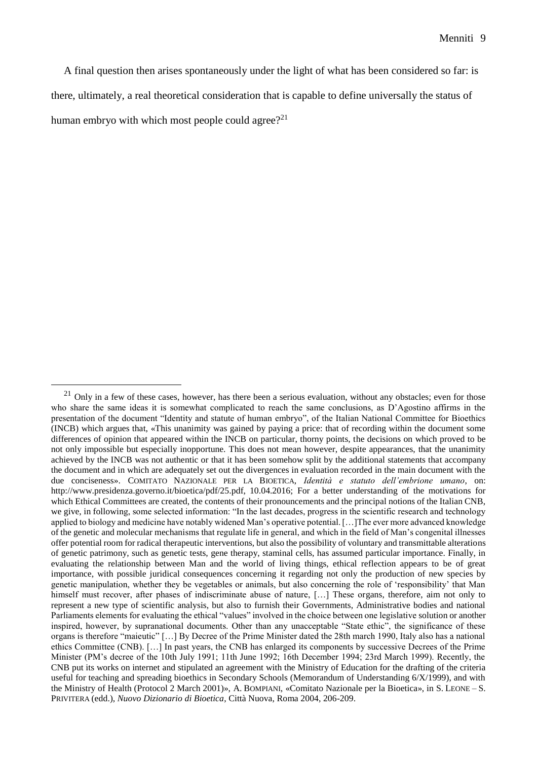A final question then arises spontaneously under the light of what has been considered so far: is there, ultimately, a real theoretical consideration that is capable to define universally the status of human embryo with which most people could agree?<sup>21</sup>

 $21$  Only in a few of these cases, however, has there been a serious evaluation, without any obstacles; even for those who share the same ideas it is somewhat complicated to reach the same conclusions, as D'Agostino affirms in the presentation of the document "Identity and statute of human embryo", of the Italian National Committee for Bioethics (INCB) which argues that, «This unanimity was gained by paying a price: that of recording within the document some differences of opinion that appeared within the INCB on particular, thorny points, the decisions on which proved to be not only impossible but especially inopportune. This does not mean however, despite appearances, that the unanimity achieved by the INCB was not authentic or that it has been somehow split by the additional statements that accompany the document and in which are adequately set out the divergences in evaluation recorded in the main document with the due conciseness». COMITATO NAZIONALE PER LA BIOETICA, *Identità e statuto dell'embrione umano*, on: http://www.presidenza.governo.it/bioetica/pdf/25.pdf, 10.04.2016; For a better understanding of the motivations for which Ethical Committees are created, the contents of their pronouncements and the principal notions of the Italian CNB, we give, in following, some selected information: "In the last decades, progress in the scientific research and technology applied to biology and medicine have notably widened Man's operative potential.[…]The ever more advanced knowledge of the genetic and molecular mechanisms that regulate life in general, and which in the field of Man's congenital illnesses offer potential room for radical therapeutic interventions, but also the possibility of voluntary and transmittable alterations of genetic patrimony, such as genetic tests, gene therapy, staminal cells, has assumed particular importance. Finally, in evaluating the relationship between Man and the world of living things, ethical reflection appears to be of great importance, with possible juridical consequences concerning it regarding not only the production of new species by genetic manipulation, whether they be vegetables or animals, but also concerning the role of 'responsibility' that Man himself must recover, after phases of indiscriminate abuse of nature, [...] These organs, therefore, aim not only to represent a new type of scientific analysis, but also to furnish their Governments, Administrative bodies and national Parliaments elements for evaluating the ethical "values" involved in the choice between one legislative solution or another inspired, however, by supranational documents. Other than any unacceptable "State ethic", the significance of these organs is therefore "maieutic" […] By Decree of the Prime Minister dated the 28th march 1990, Italy also has a national ethics Committee (CNB). […] In past years, the CNB has enlarged its components by successive Decrees of the Prime Minister (PM's decree of the 10th July 1991; 11th June 1992; 16th December 1994; 23rd March 1999). Recently, the CNB put its works on internet and stipulated an agreement with the Ministry of Education for the drafting of the criteria useful for teaching and spreading bioethics in Secondary Schools (Memorandum of Understanding 6/X/1999), and with the Ministry of Health (Protocol 2 March 2001)», A. BOMPIANI, «Comitato Nazionale per la Bioetica», in S. LEONE – S. PRIVITERA (edd.), *Nuovo Dizionario di Bioetica*, Città Nuova, Roma 2004, 206-209.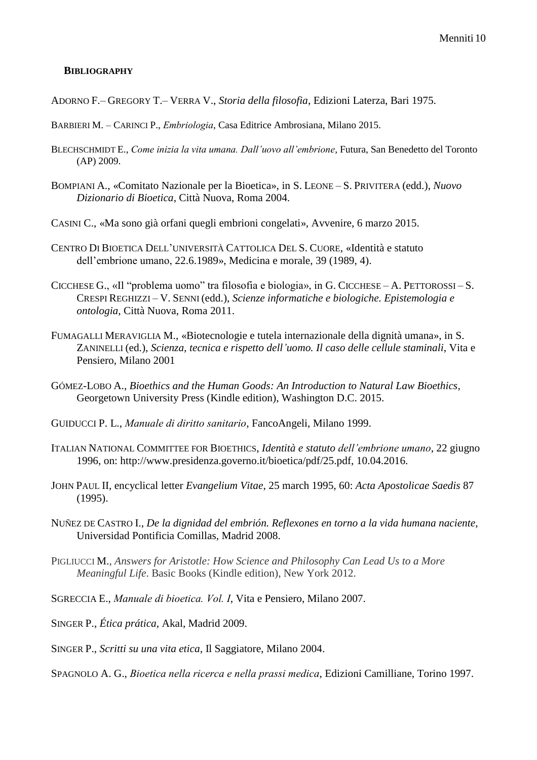## **BIBLIOGRAPHY**

- ADORNO F.– GREGORY T.– VERRA V., *Storia della filosofia*, Edizioni Laterza, Bari 1975.
- BARBIERI M. CARINCI P., *Embriologia*, Casa Editrice Ambrosiana, Milano 2015.
- BLECHSCHMIDT E., *Come inizia la vita umana. Dall'uovo all'embrione*, Futura, San Benedetto del Toronto (AP) 2009.
- BOMPIANI A., «Comitato Nazionale per la Bioetica», in S. LEONE S. PRIVITERA (edd.), *Nuovo Dizionario di Bioetica*, Città Nuova, Roma 2004.
- CASINI C., «Ma sono già orfani quegli embrioni congelati», Avvenire, 6 marzo 2015.
- CENTRO DI BIOETICA DELL'UNIVERSITÀ CATTOLICA DEL S. CUORE, «Identità e statuto dell'embrione umano, 22.6.1989», Medicina e morale, 39 (1989, 4).
- CICCHESE G., «Il "problema uomo" tra filosofia e biologia», in G. CICCHESE A. PETTOROSSI S. CRESPI REGHIZZI – V. SENNI (edd.), *Scienze informatiche e biologiche. Epistemologia e ontologia*, Città Nuova, Roma 2011.
- FUMAGALLI MERAVIGLIA M., «Biotecnologie e tutela internazionale della dignità umana», in S. ZANINELLI (ed.), *Scienza, tecnica e rispetto dell'uomo. Il caso delle cellule staminali*, Vita e Pensiero, Milano 2001
- GÓMEZ-LOBO A., *Bioethics and the Human Goods: An Introduction to Natural Law Bioethics*, Georgetown University Press (Kindle edition), Washington D.C. 2015.
- GUIDUCCI P. L., *Manuale di diritto sanitario*, FancoAngeli, Milano 1999.
- ITALIAN NATIONAL COMMITTEE FOR BIOETHICS, *Identità e statuto dell'embrione umano*, 22 giugno 1996, on: http://www.presidenza.governo.it/bioetica/pdf/25.pdf, 10.04.2016.
- JOHN PAUL II, encyclical letter *Evangelium Vitae*, 25 march 1995, 60: *Acta Apostolicae Saedis* 87 (1995).
- NUÑEZ DE CASTRO I., *De la dignidad del embrión. Reflexones en torno a la vida humana naciente*, Universidad Pontificia Comillas, Madrid 2008.
- PIGLIUCCI M., *Answers for Aristotle: How Science and Philosophy Can Lead Us to a More Meaningful Life*. Basic Books (Kindle edition), New York 2012.
- SGRECCIA E., *Manuale di bioetica. Vol. I*, Vita e Pensiero, Milano 2007.
- SINGER P., *Ética prática*, Akal, Madrid 2009.
- SINGER P., *Scritti su una vita etica*, Il Saggiatore, Milano 2004.
- SPAGNOLO A. G., *Bioetica nella ricerca e nella prassi medica*, Edizioni Camilliane, Torino 1997.